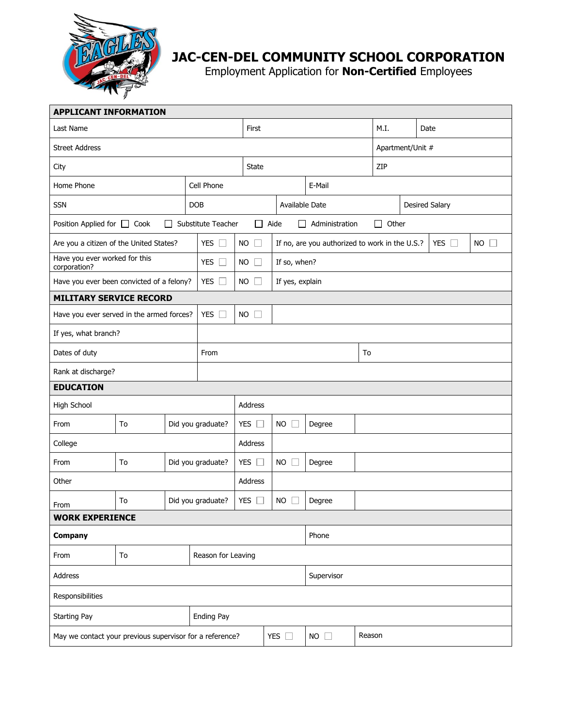

## **JAC-CEN-DEL COMMUNITY SCHOOL CORPORATION**

Employment Application for **Non-Certified** Employees

| <b>APPLICANT INFORMATION</b>                             |            |                    |                                                                     |                           |            |                                                                             |                  |                 |     |                       |  |  |  |  |
|----------------------------------------------------------|------------|--------------------|---------------------------------------------------------------------|---------------------------|------------|-----------------------------------------------------------------------------|------------------|-----------------|-----|-----------------------|--|--|--|--|
| Last Name                                                | First      |                    |                                                                     |                           | M.I.       |                                                                             | Date             |                 |     |                       |  |  |  |  |
| <b>Street Address</b>                                    |            |                    |                                                                     |                           |            |                                                                             | Apartment/Unit # |                 |     |                       |  |  |  |  |
| City                                                     |            |                    |                                                                     | <b>State</b>              |            |                                                                             |                  |                 | ZIP |                       |  |  |  |  |
| Home Phone                                               |            |                    | Cell Phone                                                          |                           |            |                                                                             | E-Mail           |                 |     |                       |  |  |  |  |
| <b>SSN</b>                                               |            |                    | <b>DOB</b>                                                          |                           |            | Available Date                                                              |                  |                 |     | <b>Desired Salary</b> |  |  |  |  |
| Position Applied for □ Cook                              |            |                    | Substitute Teacher<br>$\Box$ Aide<br>Administration<br>$\mathbf{L}$ |                           |            |                                                                             |                  | Other<br>$\Box$ |     |                       |  |  |  |  |
| Are you a citizen of the United States?                  |            |                    | <b>YES</b><br>$\mathbf{L}$                                          | <b>NO</b><br>$\mathbf{1}$ |            | <b>YES</b><br>If no, are you authorized to work in the U.S.?<br>$NO$ $\Box$ |                  |                 |     |                       |  |  |  |  |
| Have you ever worked for this<br>corporation?            |            |                    | <b>YES</b><br>$\Box$                                                | <b>NO</b><br>$\Box$       |            | If so, when?                                                                |                  |                 |     |                       |  |  |  |  |
| Have you ever been convicted of a felony?                | YES $\Box$ | $NO$ $\Box$        |                                                                     | If yes, explain           |            |                                                                             |                  |                 |     |                       |  |  |  |  |
| <b>MILITARY SERVICE RECORD</b>                           |            |                    |                                                                     |                           |            |                                                                             |                  |                 |     |                       |  |  |  |  |
| Have you ever served in the armed forces?                |            |                    | YES $\Box$                                                          | $NO$ $\Box$               |            |                                                                             |                  |                 |     |                       |  |  |  |  |
| If yes, what branch?                                     |            |                    |                                                                     |                           |            |                                                                             |                  |                 |     |                       |  |  |  |  |
| Dates of duty                                            |            |                    | From                                                                | To                        |            |                                                                             |                  |                 |     |                       |  |  |  |  |
| Rank at discharge?                                       |            |                    |                                                                     |                           |            |                                                                             |                  |                 |     |                       |  |  |  |  |
| <b>EDUCATION</b>                                         |            |                    |                                                                     |                           |            |                                                                             |                  |                 |     |                       |  |  |  |  |
| High School                                              |            |                    |                                                                     | Address                   |            |                                                                             |                  |                 |     |                       |  |  |  |  |
| From                                                     | To         |                    | Did you graduate?                                                   | YES $\Box$                |            | <b>NO</b>                                                                   | Degree           |                 |     |                       |  |  |  |  |
| College                                                  |            |                    |                                                                     | Address                   |            |                                                                             |                  |                 |     |                       |  |  |  |  |
| From                                                     | To         |                    | Did you graduate?                                                   | YES $\square$             |            | <b>NO</b>                                                                   | Degree           |                 |     |                       |  |  |  |  |
| Other                                                    |            |                    |                                                                     | Address                   |            |                                                                             |                  |                 |     |                       |  |  |  |  |
| From                                                     | To         |                    | Did you graduate?                                                   | YES $\Box$                |            | <b>NO</b>                                                                   | Degree           |                 |     |                       |  |  |  |  |
| <b>WORK EXPERIENCE</b>                                   |            |                    |                                                                     |                           |            |                                                                             |                  |                 |     |                       |  |  |  |  |
| Company                                                  |            |                    |                                                                     |                           |            |                                                                             | Phone            |                 |     |                       |  |  |  |  |
| From                                                     | To         | Reason for Leaving |                                                                     |                           |            |                                                                             |                  |                 |     |                       |  |  |  |  |
| Address                                                  |            |                    |                                                                     |                           | Supervisor |                                                                             |                  |                 |     |                       |  |  |  |  |
| Responsibilities                                         |            |                    |                                                                     |                           |            |                                                                             |                  |                 |     |                       |  |  |  |  |
| <b>Starting Pay</b>                                      |            |                    | <b>Ending Pay</b>                                                   |                           |            |                                                                             |                  |                 |     |                       |  |  |  |  |
| May we contact your previous supervisor for a reference? |            |                    |                                                                     |                           |            | YES $\square$                                                               | $NO$ $\Box$      | Reason          |     |                       |  |  |  |  |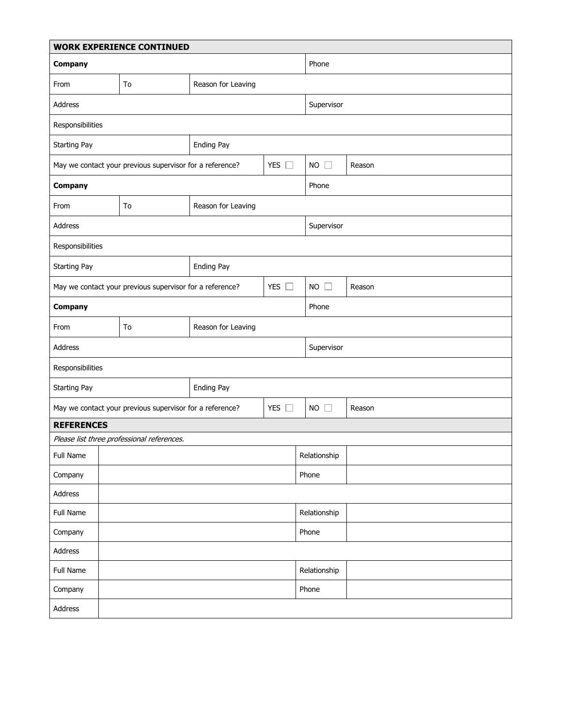| <b>WORK EXPERIENCE CONTINUED</b>                                       |                                                          |                    |                      |                     |              |  |  |  |  |
|------------------------------------------------------------------------|----------------------------------------------------------|--------------------|----------------------|---------------------|--------------|--|--|--|--|
| Company                                                                |                                                          |                    |                      | Phone               |              |  |  |  |  |
| From                                                                   | To<br>Reason for Leaving                                 |                    |                      |                     |              |  |  |  |  |
| Address                                                                |                                                          |                    |                      | Supervisor          |              |  |  |  |  |
| Responsibilities                                                       |                                                          |                    |                      |                     |              |  |  |  |  |
| <b>Starting Pay</b>                                                    |                                                          | <b>Ending Pay</b>  |                      |                     |              |  |  |  |  |
|                                                                        | May we contact your previous supervisor for a reference? | YES $\square$      |                      | <b>NO</b><br>$\Box$ | Reason       |  |  |  |  |
| Company                                                                |                                                          |                    |                      | Phone               |              |  |  |  |  |
| From                                                                   | To                                                       | Reason for Leaving |                      |                     |              |  |  |  |  |
| Address                                                                |                                                          |                    |                      | Supervisor          |              |  |  |  |  |
| Responsibilities                                                       |                                                          |                    |                      |                     |              |  |  |  |  |
| Ending Pay<br><b>Starting Pay</b>                                      |                                                          |                    |                      |                     |              |  |  |  |  |
| May we contact your previous supervisor for a reference?<br><b>YES</b> |                                                          |                    | m                    | <b>NO</b><br>$\Box$ | Reason       |  |  |  |  |
| Company                                                                |                                                          |                    |                      | Phone               |              |  |  |  |  |
| From                                                                   | To                                                       | Reason for Leaving |                      |                     |              |  |  |  |  |
| Address                                                                |                                                          |                    |                      | Supervisor          |              |  |  |  |  |
| Responsibilities                                                       |                                                          |                    |                      |                     |              |  |  |  |  |
| <b>Starting Pay</b>                                                    |                                                          | Ending Pay         |                      |                     |              |  |  |  |  |
|                                                                        | May we contact your previous supervisor for a reference? |                    | <b>YES</b><br>$\Box$ | <b>NO</b><br>$\Box$ | Reason       |  |  |  |  |
| <b>REFERENCES</b>                                                      |                                                          |                    |                      |                     |              |  |  |  |  |
|                                                                        | Please list three professional references.               |                    |                      |                     |              |  |  |  |  |
| Full Name                                                              |                                                          |                    |                      | Relationship        |              |  |  |  |  |
| Company                                                                |                                                          |                    |                      | Phone               |              |  |  |  |  |
| Address                                                                |                                                          |                    |                      |                     |              |  |  |  |  |
| Full Name                                                              |                                                          |                    |                      | Relationship        |              |  |  |  |  |
| Company                                                                |                                                          |                    |                      | Phone               |              |  |  |  |  |
| Address                                                                |                                                          |                    |                      |                     |              |  |  |  |  |
| Full Name                                                              |                                                          |                    |                      |                     | Relationship |  |  |  |  |
| Company                                                                |                                                          |                    |                      | Phone               |              |  |  |  |  |
| Address                                                                |                                                          |                    |                      |                     |              |  |  |  |  |